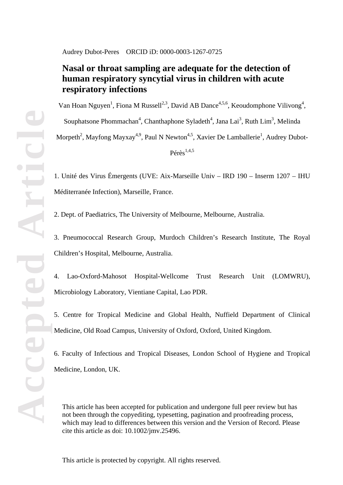# **Nasal or throat sampling are adequate for the detection of human respiratory syncytial virus in children with acute respiratory infections**

Van Hoan Nguyen<sup>1</sup>, Fiona M Russell<sup>2,3</sup>, David AB Dance<sup>4,5,6</sup>, Keoudomphone Vilivong<sup>4</sup>, Souphatsone Phommachan<sup>4</sup>, Chanthaphone Syladeth<sup>4</sup>, Jana Lai<sup>3</sup>, Ruth Lim<sup>3</sup>, Melinda Morpeth<sup>2</sup>, Mayfong Mayxay<sup>4,9</sup>, Paul N Newton<sup>4,5</sup>, Xavier De Lamballerie<sup>1</sup>, Audrey Dubot- $Pérès<sup>1,4,5</sup>$ 

1. Unité des Virus Émergents (UVE: Aix-Marseille Univ – IRD 190 – Inserm 1207 – IHU Méditerranée Infection), Marseille, France.

2. Dept. of Paediatrics, The University of Melbourne, Melbourne, Australia.

3. Pneumococcal Research Group, Murdoch Children's Research Institute, The Royal Children's Hospital, Melbourne, Australia.

4. Lao-Oxford-Mahosot Hospital-Wellcome Trust Research Unit (LOMWRU), Microbiology Laboratory, Vientiane Capital, Lao PDR.

5. Centre for Tropical Medicine and Global Health, Nuffield Department of Clinical Medicine, Old Road Campus, University of Oxford, Oxford, United Kingdom.

6. Faculty of Infectious and Tropical Diseases, London School of Hygiene and Tropical Medicine, London, UK.

This article has been accepted for publication and undergone full peer review but has not been through the copyediting, typesetting, pagination and proofreading process, which may lead to differences between this version and the Version of Record. Please cite this article as doi: 10.1002/jmv.25496.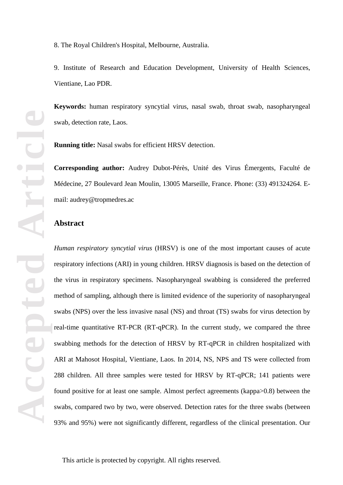8. The Royal Children's Hospital, Melbourne, Australia.

9. Institute of Research and Education Development, University of Health Sciences, Vientiane, Lao PDR.

**Keywords:** human respiratory syncytial virus, nasal swab, throat swab, nasopharyngeal swab, detection rate, Laos.

**Running title:** Nasal swabs for efficient HRSV detection.

**Corresponding author:** Audrey Dubot-Pérès, Unité des Virus Émergents, Faculté de Médecine, 27 Boulevard Jean Moulin, 13005 Marseille, France. Phone: (33) 491324264. Email: audrey@tropmedres.ac

### **Abstract**

*Human respiratory syncytial virus* (HRSV) is one of the most important causes of acute respiratory infections (ARI) in young children. HRSV diagnosis is based on the detection of the virus in respiratory specimens. Nasopharyngeal swabbing is considered the preferred method of sampling, although there is limited evidence of the superiority of nasopharyngeal swabs (NPS) over the less invasive nasal (NS) and throat (TS) swabs for virus detection by real-time quantitative RT-PCR (RT-qPCR). In the current study, we compared the three swabbing methods for the detection of HRSV by RT-qPCR in children hospitalized with ARI at Mahosot Hospital, Vientiane, Laos. In 2014, NS, NPS and TS were collected from 288 children. All three samples were tested for HRSV by RT-qPCR; 141 patients were found positive for at least one sample. Almost perfect agreements (kappa>0.8) between the swabs, compared two by two, were observed. Detection rates for the three swabs (between 93% and 95%) were not significantly different, regardless of the clinical presentation. Our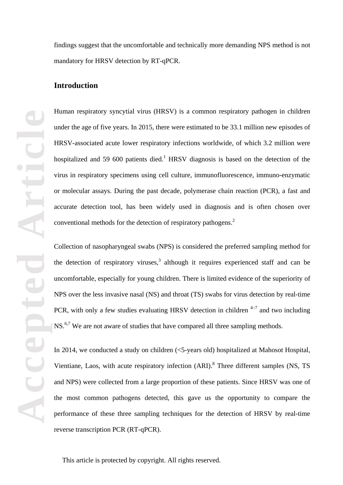findings suggest that the uncomfortable and technically more demanding NPS method is not mandatory for HRSV detection by RT-qPCR.

# **Introduction**

**Accepted Article** ticl ptc Acc

Human respiratory syncytial virus (HRSV) is a common respiratory pathogen in children under the age of five years. In 2015, there were estimated to be 33.1 million new episodes of HRSV-associated acute lower respiratory infections worldwide, of which 3.2 million were hospitalized and 59 600 patients died.<sup>1</sup> HRSV diagnosis is based on the detection of the virus in respiratory specimens using cell culture, immunofluorescence, immuno-enzymatic or molecular assays. During the past decade, polymerase chain reaction (PCR), a fast and accurate detection tool, has been widely used in diagnosis and is often chosen over conventional methods for the detection of respiratory pathogens. 2

Collection of nasopharyngeal swabs (NPS) is considered the preferred sampling method for the detection of respiratory viruses, <sup>3</sup> although it requires experienced staff and can be uncomfortable, especially for young children. There is limited evidence of the superiority of NPS over the less invasive nasal (NS) and throat (TS) swabs for virus detection by real-time PCR, with only a few studies evaluating HRSV detection in children  $4-7$  and two including NS.<sup>6,7</sup> We are not aware of studies that have compared all three sampling methods.

In 2014, we conducted a study on children (<5-years old) hospitalized at Mahosot Hospital, Vientiane, Laos, with acute respiratory infection (ARI). <sup>8</sup> Three different samples (NS, TS and NPS) were collected from a large proportion of these patients. Since HRSV was one of the most common pathogens detected, this gave us the opportunity to compare the performance of these three sampling techniques for the detection of HRSV by real-time reverse transcription PCR (RT-qPCR).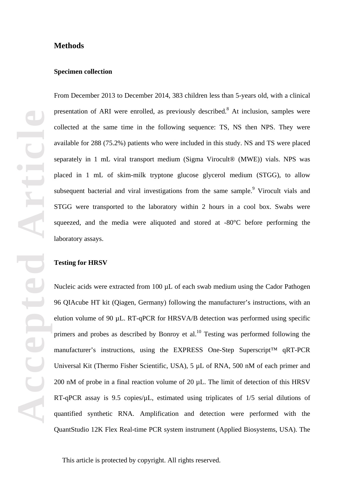### **Methods**

#### **Specimen collection**

From December 2013 to December 2014, 383 children less than 5-years old, with a clinical presentation of ARI were enrolled, as previously described.<sup>8</sup> At inclusion, samples were collected at the same time in the following sequence: TS, NS then NPS. They were available for 288 (75.2%) patients who were included in this study. NS and TS were placed separately in 1 mL viral transport medium (Sigma Virocult® (MWE)) vials. NPS was placed in 1 mL of skim-milk tryptone glucose glycerol medium (STGG), to allow subsequent bacterial and viral investigations from the same sample.<sup>9</sup> Virocult vials and STGG were transported to the laboratory within 2 hours in a cool box. Swabs were squeezed, and the media were aliquoted and stored at -80°C before performing the laboratory assays.

#### **Testing for HRSV**

Nucleic acids were extracted from 100  $\mu$ L of each swab medium using the Cador Pathogen 96 QIAcube HT kit (Qiagen, Germany) following the manufacturer's instructions, with an elution volume of 90 µL. RT-qPCR for HRSVA/B detection was performed using specific primers and probes as described by Bonroy et al.<sup>10</sup> Testing was performed following the manufacturer's instructions, using the EXPRESS One-Step Superscript™ qRT-PCR Universal Kit (Thermo Fisher Scientific, USA), 5 µL of RNA, 500 nM of each primer and 200 nM of probe in a final reaction volume of 20 µL. The limit of detection of this HRSV RT-qPCR assay is 9.5 copies/ $\mu$ L, estimated using triplicates of 1/5 serial dilutions of quantified synthetic RNA. Amplification and detection were performed with the QuantStudio 12K Flex Real-time PCR system instrument (Applied Biosystems, USA). The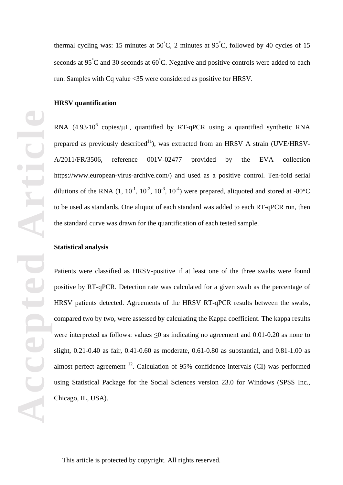thermal cycling was: 15 minutes at  $50^{\circ}$ C, 2 minutes at  $95^{\circ}$ C, followed by 40 cycles of 15 seconds at 95°C and 30 seconds at 60°C. Negative and positive controls were added to each run. Samples with Cq value <35 were considered as positive for HRSV.

### **HRSV quantification**

RNA  $(4.93 \cdot 10^6 \text{ copies/}\mu\text{L}$ , quantified by RT-qPCR using a quantified synthetic RNA prepared as previously described $^{11}$ ), was extracted from an HRSV A strain (UVE/HRSV-A/2011/FR/3506, reference 001V-02477 provided by the EVA collection https://www.european-virus-archive.com/) and used as a positive control. Ten-fold serial dilutions of the RNA  $(1, 10^{-1}, 10^{-2}, 10^{-3}, 10^{-4})$  were prepared, aliquoted and stored at -80°C to be used as standards. One aliquot of each standard was added to each RT-qPCR run, then the standard curve was drawn for the quantification of each tested sample.

#### **Statistical analysis**

Patients were classified as HRSV-positive if at least one of the three swabs were found positive by RT-qPCR. Detection rate was calculated for a given swab as the percentage of HRSV patients detected. Agreements of the HRSV RT-qPCR results between the swabs, compared two by two, were assessed by calculating the Kappa coefficient. The kappa results were interpreted as follows: values  $\leq 0$  as indicating no agreement and 0.01-0.20 as none to slight, 0.21-0.40 as fair, 0.41-0.60 as moderate, 0.61-0.80 as substantial, and 0.81-1.00 as almost perfect agreement  $^{12}$ . Calculation of 95% confidence intervals (CI) was performed using Statistical Package for the Social Sciences version 23.0 for Windows (SPSS Inc., Chicago, IL, USA).

**Accepted Article** EC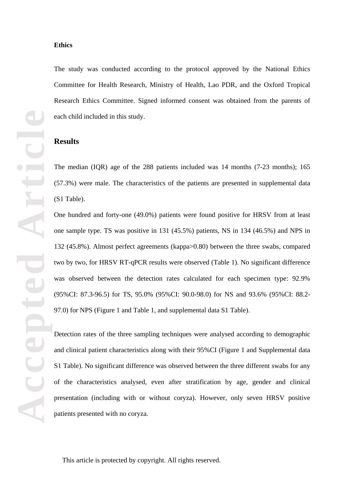The study was conducted according to the protocol approved by the National Ethics Committee for Health Research, Ministry of Health, Lao PDR, and the Oxford Tropical Research Ethics Committee. Signed informed consent was obtained from the parents of each child included in this study.

# **Results**

The median (IQR) age of the 288 patients included was 14 months (7-23 months); 165 (57.3%) were male. The characteristics of the patients are presented in supplemental data (S1 Table).

One hundred and forty-one (49.0%) patients were found positive for HRSV from at least one sample type. TS was positive in 131 (45.5%) patients, NS in 134 (46.5%) and NPS in 132 (45.8%). Almost perfect agreements (kappa>0.80) between the three swabs, compared two by two, for HRSV RT-qPCR results were observed (Table 1). No significant difference was observed between the detection rates calculated for each specimen type: 92.9% (95%CI: 87.3-96.5) for TS, 95.0% (95%CI: 90.0-98.0) for NS and 93.6% (95%CI: 88.2- 97.0) for NPS (Figure 1 and Table 1, and supplemental data S1 Table).

Detection rates of the three sampling techniques were analysed according to demographic and clinical patient characteristics along with their 95%CI (Figure 1 and Supplemental data S1 Table). No significant difference was observed between the three different swabs for any of the characteristics analysed, even after stratification by age, gender and clinical presentation (including with or without coryza). However, only seven HRSV positive patients presented with no coryza.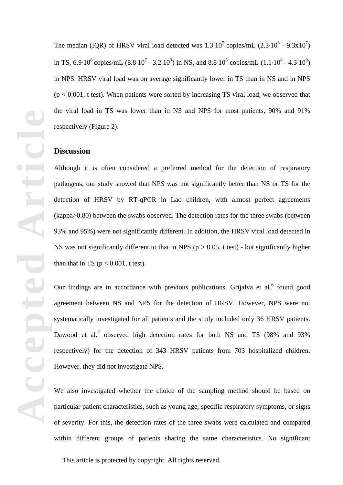in TS, 6.9⋅10<sup>8</sup> copies/mL (8.8⋅10<sup>7</sup> - 3.2⋅10<sup>9</sup>) in NS, and 8.8⋅10<sup>8</sup> copies/mL (1.1⋅10<sup>8</sup> - 4.3⋅10<sup>9</sup>) in NPS. HRSV viral load was on average significantly lower in TS than in NS and in NPS  $(p < 0.001$ , t test). When patients were sorted by increasing TS viral load, we observed that the viral load in TS was lower than in NS and NPS for most patients, 90% and 91% respectively (Figure 2). **Discussion** Although it is often considered a preferred method for the detection of respiratory

pathogens, our study showed that NPS was not significantly better than NS or TS for the detection of HRSV by RT-qPCR in Lao children, with almost perfect agreements (kappa>0.80) between the swabs observed. The detection rates for the three swabs (between 93% and 95%) were not significantly different. In addition, the HRSV viral load detected in NS was not significantly different to that in NPS ( $p > 0.05$ , t test) - but significantly higher than that in TS ( $p < 0.001$ , t test).

The median (IQR) of HRSV viral load detected was  $1.3 \cdot 10^7$  copies/mL (2.3 $\cdot 10^6$  - 9.3x $10^7$ )

Our findings are in accordance with previous publications. Grijalva et al.<sup>6</sup> found good agreement between NS and NPS for the detection of HRSV. However, NPS were not systematically investigated for all patients and the study included only 36 HRSV patients. Dawood et al.<sup>7</sup> observed high detection rates for both NS and TS (98% and 93%) respectively) for the detection of 343 HRSV patients from 703 hospitalized children. However, they did not investigate NPS.

We also investigated whether the choice of the sampling method should be based on particular patient characteristics, such as young age, specific respiratory symptoms, or signs of severity. For this, the detection rates of the three swabs were calculated and compared within different groups of patients sharing the same characteristics. No significant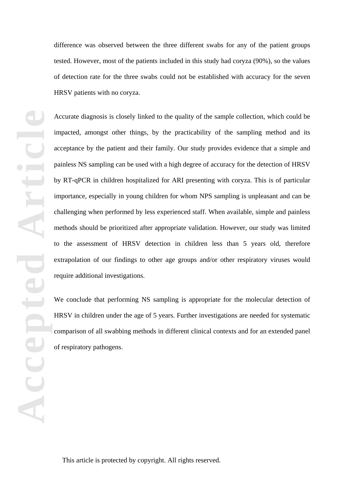difference was observed between the three different swabs for any of the patient groups tested. However, most of the patients included in this study had coryza (90%), so the values of detection rate for the three swabs could not be established with accuracy for the seven HRSV patients with no coryza.

Accurate diagnosis is closely linked to the quality of the sample collection, which could be impacted, amongst other things, by the practicability of the sampling method and its acceptance by the patient and their family. Our study provides evidence that a simple and painless NS sampling can be used with a high degree of accuracy for the detection of HRSV by RT-qPCR in children hospitalized for ARI presenting with coryza. This is of particular importance, especially in young children for whom NPS sampling is unpleasant and can be challenging when performed by less experienced staff. When available, simple and painless methods should be prioritized after appropriate validation. However, our study was limited to the assessment of HRSV detection in children less than 5 years old, therefore extrapolation of our findings to other age groups and/or other respiratory viruses would require additional investigations.

We conclude that performing NS sampling is appropriate for the molecular detection of HRSV in children under the age of 5 years. Further investigations are needed for systematic comparison of all swabbing methods in different clinical contexts and for an extended panel<br>of respiratory pathogens. of respiratory pathogens.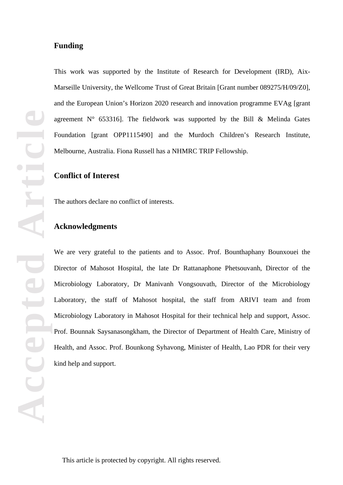## **Funding**

This work was supported by the Institute of Research for Development (IRD), Aix-Marseille University, the Wellcome Trust of Great Britain [Grant number 089275/H/09/Z0], and the European Union's Horizon 2020 research and innovation programme EVAg [grant agreement  $N^{\circ}$  653316]. The fieldwork was supported by the Bill & Melinda Gates Foundation [grant OPP1115490] and the Murdoch Children's Research Institute, Melbourne, Australia. Fiona Russell has a NHMRC TRIP Fellowship.

## **Conflict of Interest**

The authors declare no conflict of interests.

### **Acknowledgments**

We are very grateful to the patients and to Assoc. Prof. Bounthaphany Bounxouei the Director of Mahosot Hospital, the late Dr Rattanaphone Phetsouvanh, Director of the Microbiology Laboratory, Dr Manivanh Vongsouvath, Director of the Microbiology Laboratory, the staff of Mahosot hospital, the staff from ARIVI team and from Microbiology Laboratory in Mahosot Hospital for their technical help and support, Assoc. Prof. Bounnak Saysanasongkham, the Director of Department of Health Care, Ministry of Health, and Assoc. Prof. Bounkong Syhavong, Minister of Health, Lao PDR for their very kind help and support.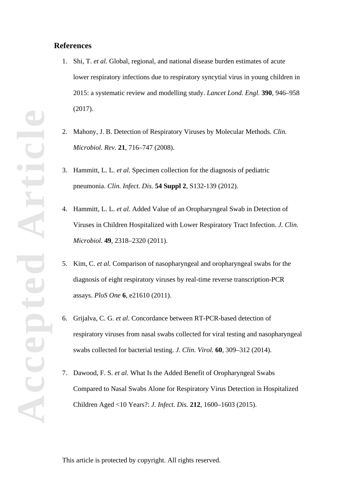### **References**

- 1. Shi, T. *et al.* Global, regional, and national disease burden estimates of acute lower respiratory infections due to respiratory syncytial virus in young children in 2015: a systematic review and modelling study. *Lancet Lond. Engl.* **390**, 946–958 (2017).
- 2. Mahony, J. B. Detection of Respiratory Viruses by Molecular Methods. *Clin. Microbiol. Rev.* **21**, 716–747 (2008).
- 3. Hammitt, L. L. *et al.* Specimen collection for the diagnosis of pediatric pneumonia. *Clin. Infect. Dis.* **54 Suppl 2**, S132-139 (2012).
- 4. Hammitt, L. L. *et al.* Added Value of an Oropharyngeal Swab in Detection of Viruses in Children Hospitalized with Lower Respiratory Tract Infection. *J. Clin. Microbiol.* **49**, 2318–2320 (2011).
- 5. Kim, C. *et al.* Comparison of nasopharyngeal and oropharyngeal swabs for the diagnosis of eight respiratory viruses by real-time reverse transcription-PCR assays. *PloS One* **6**, e21610 (2011).
- 6. Grijalva, C. G. *et al.* Concordance between RT-PCR-based detection of respiratory viruses from nasal swabs collected for viral testing and nasopharyngeal swabs collected for bacterial testing. *J. Clin. Virol.* **60**, 309–312 (2014).
- 7. Dawood, F. S. *et al.* What Is the Added Benefit of Oropharyngeal Swabs Compared to Nasal Swabs Alone for Respiratory Virus Detection in Hospitalized Children Aged <10 Years?: *J. Infect. Dis.* **212**, 1600–1603 (2015).

**Accepted Article** Accepte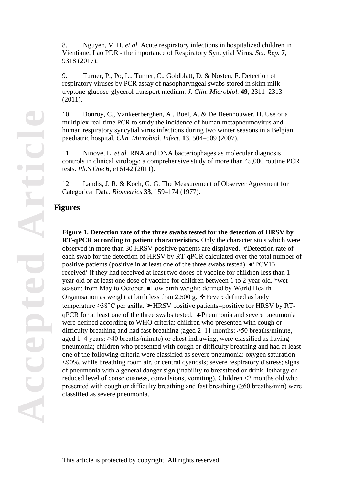8. Nguyen, V. H. *et al.* Acute respiratory infections in hospitalized children in Vientiane, Lao PDR - the importance of Respiratory Syncytial Virus. *Sci. Rep.* **7**, 9318 (2017).

9. Turner, P., Po, L., Turner, C., Goldblatt, D. & Nosten, F. Detection of respiratory viruses by PCR assay of nasopharyngeal swabs stored in skim milktryptone-glucose-glycerol transport medium. *J. Clin. Microbiol.* **49**, 2311–2313 (2011).

10. Bonroy, C., Vankeerberghen, A., Boel, A. & De Beenhouwer, H. Use of a multiplex real-time PCR to study the incidence of human metapneumovirus and human respiratory syncytial virus infections during two winter seasons in a Belgian paediatric hospital. *Clin. Microbiol. Infect.* **13**, 504–509 (2007).

11. Ninove, L. *et al.* RNA and DNA bacteriophages as molecular diagnosis controls in clinical virology: a comprehensive study of more than 45,000 routine PCR tests. *PloS One* **6**, e16142 (2011).

12. Landis, J. R. & Koch, G. G. The Measurement of Observer Agreement for Categorical Data. *Biometrics* **33**, 159–174 (1977).

## **Figures**

**Figure 1. Detection rate of the three swabs tested for the detection of HRSV by RT-qPCR according to patient characteristics.** Only the characteristics which were observed in more than 30 HRSV-positive patients are displayed. #Detection rate of each swab for the detection of HRSV by RT-qPCR calculated over the total number of positive patients (positive in at least one of the three swabs tested). ●'PCV13 received' if they had received at least two doses of vaccine for children less than 1 year old or at least one dose of vaccine for children between 1 to 2-year old. \*wet season: from May to October. ■Low birth weight: defined by World Health Organisation as weight at birth less than 2,500 g.  $\bullet$  Fever: defined as body temperature  $>38^{\circ}$ C per axilla.  $\blacktriangleright$  HRSV positive patients=positive for HRSV by RTqPCR for at least one of the three swabs tested. ♣Pneumonia and severe pneumonia were defined according to WHO criteria: children who presented with cough or difficulty breathing and had fast breathing (aged 2–11 months:  $\geq$ 50 breaths/minute, aged 1–4 years: ≥40 breaths/minute) or chest indrawing, were classified as having pneumonia; children who presented with cough or difficulty breathing and had at least one of the following criteria were classified as severe pneumonia: oxygen saturation <90%, while breathing room air, or central cyanosis; severe respiratory distress; signs of pneumonia with a general danger sign (inability to breastfeed or drink, lethargy or reduced level of consciousness, convulsions, vomiting). Children <2 months old who presented with cough or difficulty breathing and fast breathing  $(\geq 60 \text{ breaths/min})$  were classified as severe pneumonia.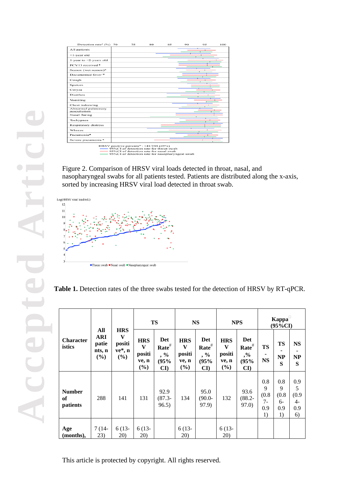| Detection rate" (%) 70                                                                                                                                                                              |  | 75 | 80 | 85 | 90 | 95 | 100 |  |  |  |  |  |
|-----------------------------------------------------------------------------------------------------------------------------------------------------------------------------------------------------|--|----|----|----|----|----|-----|--|--|--|--|--|
| All patients                                                                                                                                                                                        |  |    |    |    |    |    |     |  |  |  |  |  |
| $\leq$ 1-year old                                                                                                                                                                                   |  |    |    |    |    |    |     |  |  |  |  |  |
| 1-year to $\leq$ 2-years old                                                                                                                                                                        |  |    |    |    |    |    |     |  |  |  |  |  |
| PCV13 received *                                                                                                                                                                                    |  |    |    |    |    |    |     |  |  |  |  |  |
| Season (wet season)*                                                                                                                                                                                |  |    |    |    |    |    |     |  |  |  |  |  |
| Documented fever *                                                                                                                                                                                  |  |    |    |    |    |    |     |  |  |  |  |  |
| Cough                                                                                                                                                                                               |  |    |    |    |    |    |     |  |  |  |  |  |
| Sputum                                                                                                                                                                                              |  |    |    |    |    |    |     |  |  |  |  |  |
| Coryza                                                                                                                                                                                              |  |    |    |    |    |    |     |  |  |  |  |  |
| Diarrhea                                                                                                                                                                                            |  |    |    |    |    |    |     |  |  |  |  |  |
| Vomiting                                                                                                                                                                                            |  |    |    |    |    |    |     |  |  |  |  |  |
| Chest indrawing                                                                                                                                                                                     |  |    |    |    |    |    |     |  |  |  |  |  |
| Abnormal pulmonary<br>auscultation                                                                                                                                                                  |  |    |    |    |    |    |     |  |  |  |  |  |
| Nasal flaring                                                                                                                                                                                       |  |    |    |    |    |    |     |  |  |  |  |  |
| Tachypnea                                                                                                                                                                                           |  |    |    |    |    |    |     |  |  |  |  |  |
| Respiratory distress                                                                                                                                                                                |  |    |    |    |    |    |     |  |  |  |  |  |
| Wheeze                                                                                                                                                                                              |  |    |    |    |    |    |     |  |  |  |  |  |
| Pneumonia*                                                                                                                                                                                          |  |    |    |    |    |    |     |  |  |  |  |  |
| Severe pneumonia *                                                                                                                                                                                  |  |    |    |    |    |    |     |  |  |  |  |  |
| HRSV positive patients $\ge$ : 141/288 (49%)<br>-95%CI of detection rate for throat swab<br>95%CI of detection rate for nasal swab<br>$-0.00277$ will depend on more flow accounts on monoton more. |  |    |    |    |    |    |     |  |  |  |  |  |



| auscultation<br>Nasal flaring<br>Tachypnea<br>Respiratory distress<br>Wheeze<br>Pneumonia*<br>Severe pneumonia *                                          |                                             | HRSV positive patients <sup>≥</sup> : 141/288 (49%)<br>95%CI of detection rate for throat swab<br>95%CI of detection rate for nasal swab<br>95%CI of detection rate for nasopharyngeal swab |                                              |                                                     |                                                      |                                                                      |                                                      |                                         |                                        |                                        |                                                      |
|-----------------------------------------------------------------------------------------------------------------------------------------------------------|---------------------------------------------|---------------------------------------------------------------------------------------------------------------------------------------------------------------------------------------------|----------------------------------------------|-----------------------------------------------------|------------------------------------------------------|----------------------------------------------------------------------|------------------------------------------------------|-----------------------------------------|----------------------------------------|----------------------------------------|------------------------------------------------------|
| Figure 2. Comparison of HRSV viral loads detected in throat, nasal, and                                                                                   |                                             |                                                                                                                                                                                             |                                              |                                                     |                                                      |                                                                      |                                                      |                                         |                                        |                                        |                                                      |
| nasopharyngeal swabs for all patients tested. Patients are distributed along the x-axis,<br>sorted by increasing HRSV viral load detected in throat swab. |                                             |                                                                                                                                                                                             |                                              |                                                     |                                                      |                                                                      |                                                      |                                         |                                        |                                        |                                                      |
| Log(HRSV viral load/mL)<br>12<br>11<br>10<br>Table 1. Detection rates of the three swabs tested for the detection of HRSV by RT-qPCR.                     |                                             | ·Throat swab •Nasal swab •Nasopharyngeal swab                                                                                                                                               |                                              |                                                     |                                                      |                                                                      |                                                      |                                         |                                        |                                        |                                                      |
|                                                                                                                                                           |                                             | <b>HRS</b>                                                                                                                                                                                  | <b>TS</b>                                    |                                                     | <b>NS</b>                                            |                                                                      | <b>NPS</b>                                           |                                         | <b>Kappa</b><br>$(95\%CI)$             |                                        |                                                      |
| <b>Character</b><br>istics                                                                                                                                | All<br><b>ARI</b><br>patie<br>nts, n<br>(%) | $\mathbf{V}$<br>positi<br>ve*, n<br>(%)                                                                                                                                                     | <b>HRS</b><br>V<br>positi<br>ve, n<br>$(\%)$ | Det<br>$\mathbf{Rate}^{\#}$<br>$, \%$<br>(95%<br>CD | <b>HRS</b><br>$\mathbf{V}$<br>positi<br>ve, n<br>(%) | Det<br>$Rate$ #<br>$, \frac{0}{0}$<br>(95%<br>$\mathbf{C}\mathbf{I}$ | <b>HRS</b><br>$\mathbf{V}$<br>positi<br>ve, n<br>(%) | Det<br>$Rate$ #<br>$, \%$<br>(95%<br>CI | <b>TS</b><br><b>NS</b>                 | <b>TS</b><br><b>NP</b><br>S            | <b>NS</b><br><b>NP</b><br>S                          |
| <b>Number</b><br><b>of</b><br>patients                                                                                                                    | 288                                         | 141                                                                                                                                                                                         | 131                                          | 92.9<br>$(87.3 -$<br>96.5)                          | 134                                                  | 95.0<br>$(90.0 -$<br>97.9                                            | 132                                                  | 93.6<br>$(88.2 -$<br>97.0               | 0.8<br>9<br>(0.8)<br>$7-$<br>0.9<br>1) | 0.8<br>9<br>(0.8)<br>$6-$<br>0.9<br>1) | 0.9<br>$5\overline{)}$<br>(0.9)<br>$4-$<br>0.9<br>6) |
| Age<br>(months),                                                                                                                                          | $7(14-$<br>23)                              | $6(13-$<br>20)                                                                                                                                                                              | $6(13-$<br>20)                               |                                                     | $6(13-$<br>20)                                       |                                                                      | $6(13-$<br>20)                                       |                                         |                                        |                                        |                                                      |